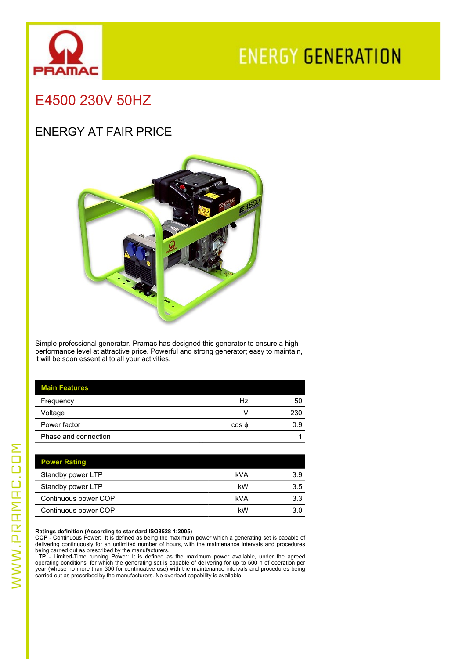

# **ENERGY GENERATION**

## E4500 230V 50HZ

### ENERGY AT FAIR PRICE



Simple professional generator. Pramac has designed this generator to ensure a high performance level at attractive price. Powerful and strong generator; easy to maintain, it will be soon essential to all your activities.

| <b>Main Features</b> |             |     |
|----------------------|-------------|-----|
| Frequency            | Hz          | 50  |
| Voltage              |             | 230 |
| Power factor         | $\cos \phi$ | 0.9 |
| Phase and connection |             |     |

| kVA | 3.9 |
|-----|-----|
| kW  | 3.5 |
| kVA | 3.3 |
| kW  | 3.0 |
|     |     |

#### **Ratings definition (According to standard ISO8528 1:2005)**

**COP** - Continuous Power: It is defined as being the maximum power which a generating set is capable of

delivering continuously for an unlimited number of hours, with the maintenance intervals and procedures<br>being carried out as prescribed by the manufacturers.<br>LTP - Limited-Time running Power: It is defined as the maximum p carried out as prescribed by the manufacturers. No overload capability is available.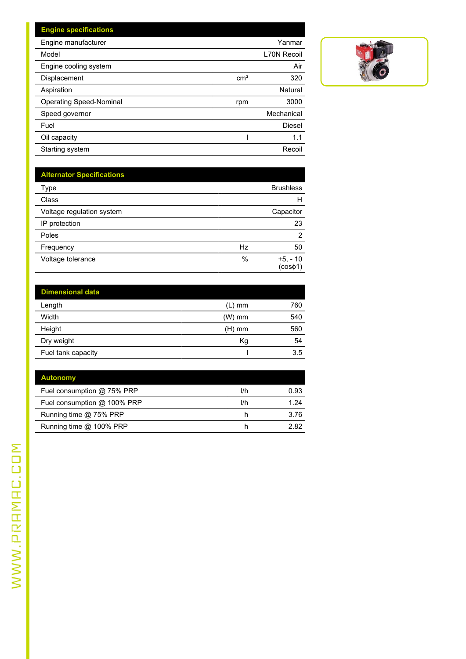| <b>Engine specifications</b>   |                 |                    |
|--------------------------------|-----------------|--------------------|
| Engine manufacturer            |                 | Yanmar             |
| Model                          |                 | <b>L70N Recoil</b> |
| Engine cooling system          |                 | Air                |
| Displacement                   | cm <sup>3</sup> | 320                |
| Aspiration                     |                 | Natural            |
| <b>Operating Speed-Nominal</b> | rpm             | 3000               |
| Speed governor                 |                 | Mechanical         |
| Fuel                           |                 | Diesel             |
| Oil capacity                   |                 | 1.1                |
| Starting system                |                 | Recoil             |



| <b>Alternator Specifications</b> |      |                      |
|----------------------------------|------|----------------------|
| Type                             |      | <b>Brushless</b>     |
| Class                            |      | н                    |
| Voltage regulation system        |      | Capacitor            |
| IP protection                    |      | 23                   |
| Poles                            |      | $\overline{2}$       |
| Frequency                        | Hz   | 50                   |
| Voltage tolerance                | $\%$ | $+5, -10$<br>(cos@1) |

| <b>Dimensional data</b> |          |     |
|-------------------------|----------|-----|
| Length                  | $(L)$ mm | 760 |
| Width                   | $(W)$ mm | 540 |
| Height                  | $(H)$ mm | 560 |
| Dry weight              | Κg       | 54  |
| Fuel tank capacity      |          | 3.5 |

| <b>Autonomy</b>             |     |      |
|-----------------------------|-----|------|
| Fuel consumption @ 75% PRP  | l/h | 0.93 |
| Fuel consumption @ 100% PRP | l/h | 1 24 |
| Running time @ 75% PRP      |     | 3.76 |
| Running time @ 100% PRP     |     | 282  |